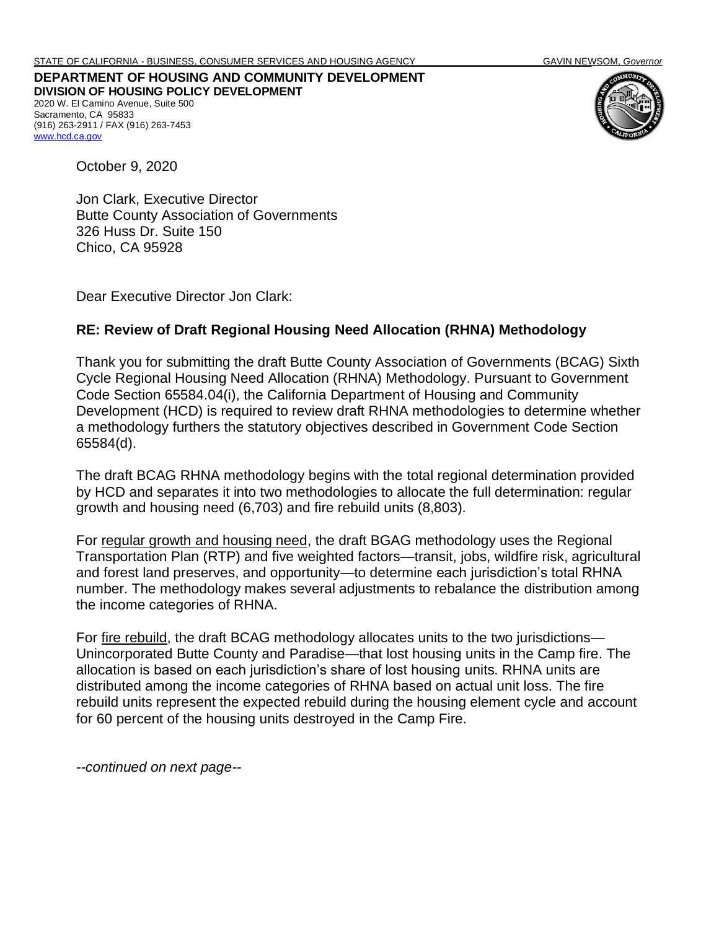**DEPARTMENT OF HOUSING AND COMMUNITY DEVELOPMENT DIVISION OF HOUSING POLICY DEVELOPMENT** 2020 W. El Camino Avenue, Suite 500 Sacramento, CA 95833 (916) 263-2911 / FAX (916) 263-7453 [www.hcd.ca.gov](http://www.hcd.ca.gov/)



October 9, 2020

Jon Clark, Executive Director Butte County Association of Governments 326 Huss Dr. Suite 150 Chico, CA 95928

Dear Executive Director Jon Clark:

## **RE: Review of Draft Regional Housing Need Allocation (RHNA) Methodology**

Thank you for submitting the draft Butte County Association of Governments (BCAG) Sixth Cycle Regional Housing Need Allocation (RHNA) Methodology. Pursuant to Government Code Section 65584.04(i), the California Department of Housing and Community Development (HCD) is required to review draft RHNA methodologies to determine whether a methodology furthers the statutory objectives described in Government Code Section 65584(d).

The draft BCAG RHNA methodology begins with the total regional determination provided by HCD and separates it into two methodologies to allocate the full determination: regular growth and housing need (6,703) and fire rebuild units (8,803).

For regular growth and housing need, the draft BGAG methodology uses the Regional Transportation Plan (RTP) and five weighted factors—transit, jobs, wildfire risk, agricultural and forest land preserves, and opportunity—to determine each jurisdiction's total RHNA number. The methodology makes several adjustments to rebalance the distribution among the income categories of RHNA.

For fire rebuild, the draft BCAG methodology allocates units to the two jurisdictions— Unincorporated Butte County and Paradise—that lost housing units in the Camp fire. The allocation is based on each jurisdiction's share of lost housing units. RHNA units are distributed among the income categories of RHNA based on actual unit loss. The fire rebuild units represent the expected rebuild during the housing element cycle and account for 60 percent of the housing units destroyed in the Camp Fire.

*--continued on next page--*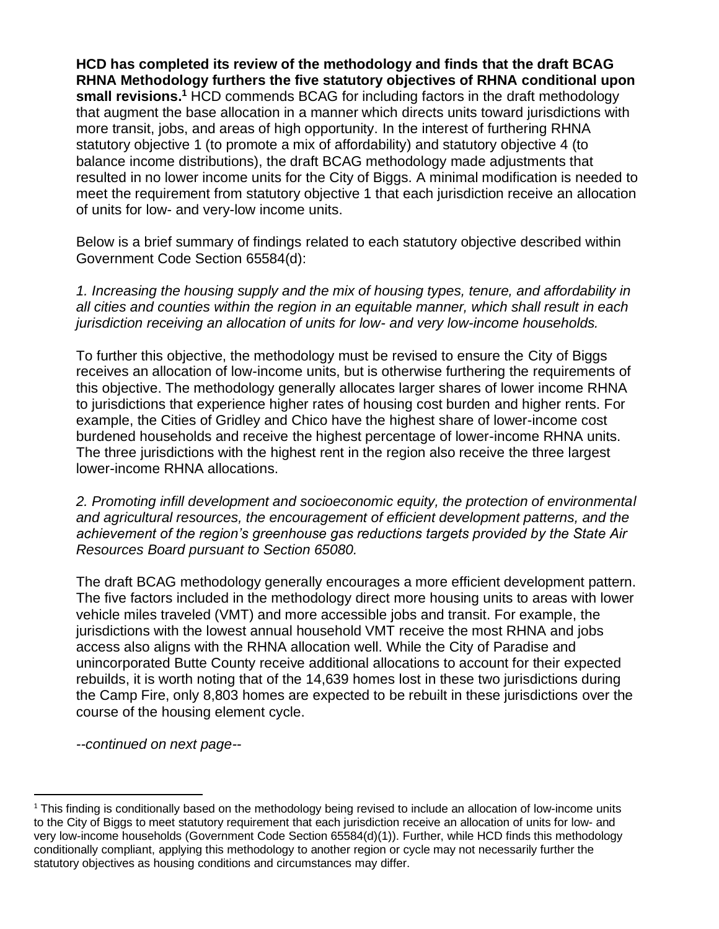**HCD has completed its review of the methodology and finds that the draft BCAG RHNA Methodology furthers the five statutory objectives of RHNA conditional upon**  small revisions.<sup>1</sup> HCD commends BCAG for including factors in the draft methodology that augment the base allocation in a manner which directs units toward jurisdictions with more transit, jobs, and areas of high opportunity. In the interest of furthering RHNA statutory objective 1 (to promote a mix of affordability) and statutory objective 4 (to balance income distributions), the draft BCAG methodology made adjustments that resulted in no lower income units for the City of Biggs. A minimal modification is needed to meet the requirement from statutory objective 1 that each jurisdiction receive an allocation of units for low- and very-low income units.

Below is a brief summary of findings related to each statutory objective described within Government Code Section 65584(d):

*1. Increasing the housing supply and the mix of housing types, tenure, and affordability in all cities and counties within the region in an equitable manner, which shall result in each jurisdiction receiving an allocation of units for low- and very low-income households.* 

To further this objective, the methodology must be revised to ensure the City of Biggs receives an allocation of low-income units, but is otherwise furthering the requirements of this objective. The methodology generally allocates larger shares of lower income RHNA to jurisdictions that experience higher rates of housing cost burden and higher rents. For example, the Cities of Gridley and Chico have the highest share of lower-income cost burdened households and receive the highest percentage of lower-income RHNA units. The three jurisdictions with the highest rent in the region also receive the three largest lower-income RHNA allocations.

*2. Promoting infill development and socioeconomic equity, the protection of environmental and agricultural resources, the encouragement of efficient development patterns, and the achievement of the region's greenhouse gas reductions targets provided by the State Air Resources Board pursuant to Section 65080.*

The draft BCAG methodology generally encourages a more efficient development pattern. The five factors included in the methodology direct more housing units to areas with lower vehicle miles traveled (VMT) and more accessible jobs and transit. For example, the jurisdictions with the lowest annual household VMT receive the most RHNA and jobs access also aligns with the RHNA allocation well. While the City of Paradise and unincorporated Butte County receive additional allocations to account for their expected rebuilds, it is worth noting that of the 14,639 homes lost in these two jurisdictions during the Camp Fire, only 8,803 homes are expected to be rebuilt in these jurisdictions over the course of the housing element cycle.

*--continued on next page--*

<sup>&</sup>lt;sup>1</sup> This finding is conditionally based on the methodology being revised to include an allocation of low-income units to the City of Biggs to meet statutory requirement that each jurisdiction receive an allocation of units for low- and very low-income households (Government Code Section 65584(d)(1)). Further, while HCD finds this methodology conditionally compliant, applying this methodology to another region or cycle may not necessarily further the statutory objectives as housing conditions and circumstances may differ.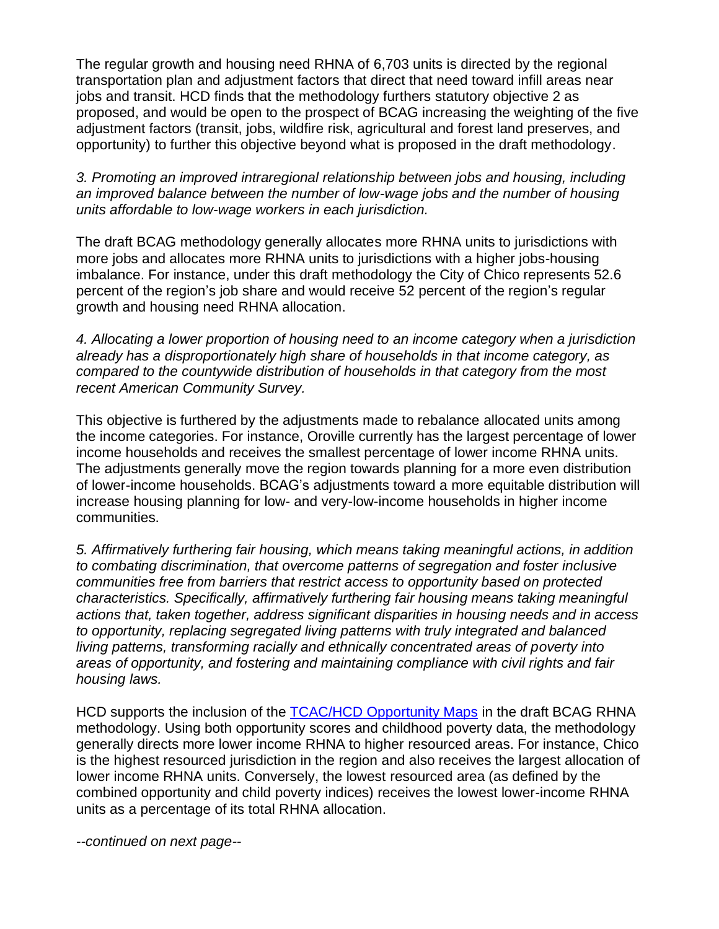The regular growth and housing need RHNA of 6,703 units is directed by the regional transportation plan and adjustment factors that direct that need toward infill areas near jobs and transit. HCD finds that the methodology furthers statutory objective 2 as proposed, and would be open to the prospect of BCAG increasing the weighting of the five adjustment factors (transit, jobs, wildfire risk, agricultural and forest land preserves, and opportunity) to further this objective beyond what is proposed in the draft methodology.

*3. Promoting an improved intraregional relationship between jobs and housing, including an improved balance between the number of low-wage jobs and the number of housing units affordable to low-wage workers in each jurisdiction.*

The draft BCAG methodology generally allocates more RHNA units to jurisdictions with more jobs and allocates more RHNA units to jurisdictions with a higher jobs-housing imbalance. For instance, under this draft methodology the City of Chico represents 52.6 percent of the region's job share and would receive 52 percent of the region's regular growth and housing need RHNA allocation.

*4. Allocating a lower proportion of housing need to an income category when a jurisdiction already has a disproportionately high share of households in that income category, as compared to the countywide distribution of households in that category from the most recent American Community Survey.*

This objective is furthered by the adjustments made to rebalance allocated units among the income categories. For instance, Oroville currently has the largest percentage of lower income households and receives the smallest percentage of lower income RHNA units. The adjustments generally move the region towards planning for a more even distribution of lower-income households. BCAG's adjustments toward a more equitable distribution will increase housing planning for low- and very-low-income households in higher income communities.

*5. Affirmatively furthering fair housing, which means taking meaningful actions, in addition to combating discrimination, that overcome patterns of segregation and foster inclusive communities free from barriers that restrict access to opportunity based on protected characteristics. Specifically, affirmatively furthering fair housing means taking meaningful actions that, taken together, address significant disparities in housing needs and in access to opportunity, replacing segregated living patterns with truly integrated and balanced living patterns, transforming racially and ethnically concentrated areas of poverty into areas of opportunity, and fostering and maintaining compliance with civil rights and fair housing laws.*

HCD supports the inclusion of the [TCAC/HCD Opportunity Maps](https://www.treasurer.ca.gov/ctcac/opportunity.asp) in the draft BCAG RHNA methodology. Using both opportunity scores and childhood poverty data, the methodology generally directs more lower income RHNA to higher resourced areas. For instance, Chico is the highest resourced jurisdiction in the region and also receives the largest allocation of lower income RHNA units. Conversely, the lowest resourced area (as defined by the combined opportunity and child poverty indices) receives the lowest lower-income RHNA units as a percentage of its total RHNA allocation.

*--continued on next page--*